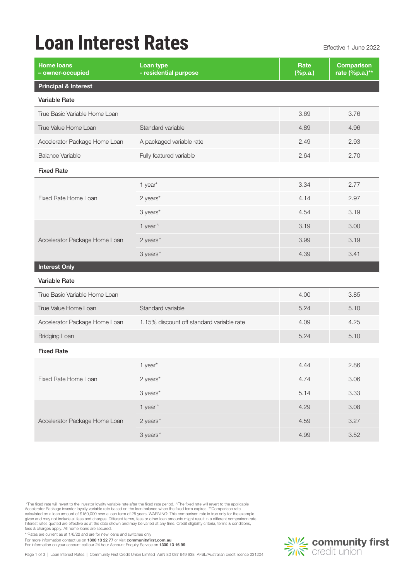## **Loan Interest Rates** Effective 1 June 2022

| 3.76<br>4.96<br>2.93<br>2.70 |
|------------------------------|
|                              |
|                              |
|                              |
|                              |
|                              |
|                              |
|                              |
| 2.77                         |
| 2.97                         |
| 3.19                         |
| 3.00                         |
| 3.19                         |
| 3.41                         |
|                              |
|                              |
| 3.85                         |
| 5.10                         |
| 4.25                         |
| 5.10                         |
|                              |
| 2.86                         |
| 3.06                         |
| 3.33                         |
| 3.08                         |
| 3.27                         |
| 3.52                         |
|                              |

 \*The fixed rate will revert to the investor loyalty variable rate after the fixed rate period. ^The fixed rate will revert to the applicable Accelerator Package investor loyalty variable rate based on the loan balance when the fixed term expires. \*\*Comparison rate<br>calculated on a loan amount of \$150,000 over a loan term of 25 years. WARNING: This comparison rat

\*\*Rates are current as at 1/6/22 and are for new loans and switches only

For more information contact us on 1300 13 22 77 or visit communityfirst.com.au

For information on your account call our 24 hour Account Enquiry Service on 1300 13 16 99.

Page 1 of 3 | Loan Interest Rates | Community First Credit Union Limited ABN 80 087 649 938 AFSL/Australian credit licence 231204

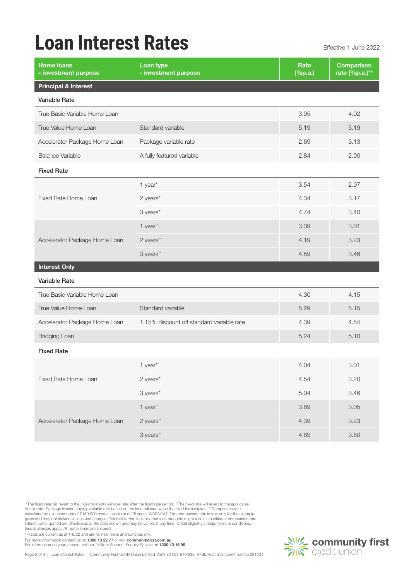## **Loan Interest Rates** Effective 1 June 2022

| <b>Home loans</b><br>- investment purpose | Loan type<br>- investment purpose         | Rate<br>$(\%p.a.)$ | <b>Comparison</b><br>rate (%p.a.)** |
|-------------------------------------------|-------------------------------------------|--------------------|-------------------------------------|
| <b>Principal &amp; Interest</b>           |                                           |                    |                                     |
| Variable Rate                             |                                           |                    |                                     |
| True Basic Variable Home Loan             |                                           | 3.95               | 4.02                                |
| True Value Home Loan                      | Standard variable                         | 5.19               | 5.19                                |
| Accelerator Package Home Loan             | Package variable rate                     | 2.69               | 3.13                                |
| <b>Balance Variable</b>                   | A fully featured variable                 | 2.84               | 2.90                                |
| <b>Fixed Rate</b>                         |                                           |                    |                                     |
|                                           | 1 year*                                   | 3.54               | 2.97                                |
| Fixed Rate Home Loan                      | 2 years*                                  | 4.34               | 3.17                                |
|                                           | 3 years*                                  | 4.74               | 3.40                                |
|                                           | 1 year ^                                  | 3.39               | 3.01                                |
| Accelerator Package Home Loan             | 2 years <sup>^</sup>                      | 4.19               | 3.23                                |
|                                           | 3 years <sup>^</sup>                      | 4.59               | 3.46                                |
| <b>Interest Only</b>                      |                                           |                    |                                     |
| <b>Variable Rate</b>                      |                                           |                    |                                     |
| True Basic Variable Home Loan             |                                           | 4.30               | 4.15                                |
| True Value Home Loan                      | Standard variable                         | 5.29               | 5.15                                |
| Accelerator Package Home Loan             | 1.15% discount off standard variable rate | 4.39               | 4.54                                |
| <b>Bridging Loan</b>                      |                                           | 5.24               | 5.10                                |
| <b>Fixed Rate</b>                         |                                           |                    |                                     |
|                                           | 1 year*                                   | 4.04               | 3.01                                |
| Fixed Rate Home Loan                      | 2 years*                                  | 4.54               | 3.20                                |
|                                           | 3 years*                                  | 5.04               | 3.46                                |
|                                           | 1 year <sup>^</sup>                       | 3.89               | $3.05$                              |
| Accelerator Package Home Loan             | 2 years <sup>^</sup>                      | 4.39               | 3.23                                |
|                                           | 3 years <sup>^</sup>                      | 4.89               | 3.50                                |
|                                           |                                           |                    |                                     |

 \*The fixed rate will revert to the investor loyalty variable rate after the fixed rate period. ^The fixed rate will revert to the applicable Accelerator Package investor loyalty variable rate based on the loan balance when the fixed term expires. \*\*Comparison rate<br>calculated on a loan amount of \$150,000 over a loan term of 25 years. WARNING: This comparison rat

\*\*Rates are current as at 1/6/22 and are for new loans and switches only

For more information contact us on 1300 13 22 77 or visit communityfirst.com.au

For information on your account call our 24 hour Account Enquiry Service on 1300 13 16 99.

Page 2 of 3 | Loan Interest Rates | Community First Credit Union Limited ABN 80 087 649 938 AFSL/Australian credit licence 231204